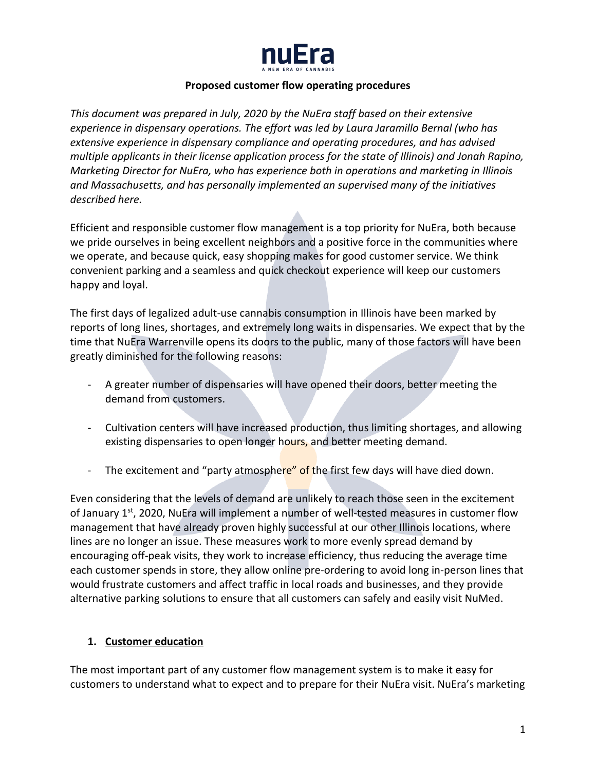

#### **Proposed customer flow operating procedures**

*This document was prepared in July, 2020 by the NuEra staff based on their extensive experience in dispensary operations. The effort was led by Laura Jaramillo Bernal (who has extensive experience in dispensary compliance and operating procedures, and has advised multiple applicants in their license application process for the state of Illinois) and Jonah Rapino, Marketing Director for NuEra, who has experience both in operations and marketing in Illinois and Massachusetts, and has personally implemented an supervised many of the initiatives described here.* 

Efficient and responsible customer flow management is a top priority for NuEra, both because we pride ourselves in being excellent neighbors and a positive force in the communities where we operate, and because quick, easy shopping makes for good customer service. We think convenient parking and a seamless and quick checkout experience will keep our customers happy and loyal.

The first days of legalized adult-use cannabis consumption in Illinois have been marked by reports of long lines, shortages, and extremely long waits in dispensaries. We expect that by the time that NuEra Warrenville opens its doors to the public, many of those factors will have been greatly diminished for the following reasons:

- A greater number of dispensaries will have opened their doors, better meeting the demand from customers.
- Cultivation centers will have increased production, thus limiting shortages, and allowing existing dispensaries to open longer hours, and better meeting demand.
- The excitement and "party atmosphere" of the first few days will have died down.

Even considering that the levels of demand are unlikely to reach those seen in the excitement of January  $1<sup>st</sup>$ , 2020, NuEra will implement a number of well-tested measures in customer flow management that have already proven highly successful at our other Illinois locations, where lines are no longer an issue. These measures work to more evenly spread demand by encouraging off-peak visits, they work to increase efficiency, thus reducing the average time each customer spends in store, they allow online pre-ordering to avoid long in-person lines that would frustrate customers and affect traffic in local roads and businesses, and they provide alternative parking solutions to ensure that all customers can safely and easily visit NuMed.

### **1. Customer education**

The most important part of any customer flow management system is to make it easy for customers to understand what to expect and to prepare for their NuEra visit. NuEra's marketing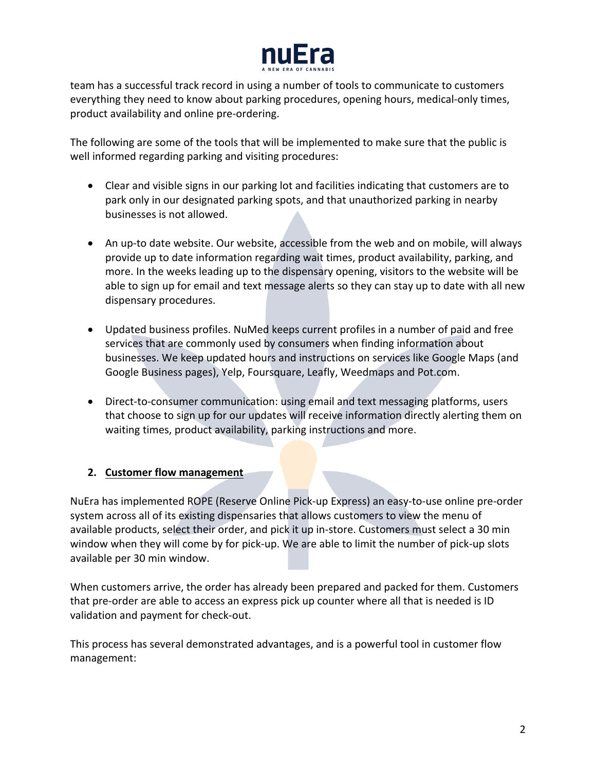

team has a successful track record in using a number of tools to communicate to customers everything they need to know about parking procedures, opening hours, medical-only times, product availability and online pre-ordering.

The following are some of the tools that will be implemented to make sure that the public is well informed regarding parking and visiting procedures:

- Clear and visible signs in our parking lot and facilities indicating that customers are to park only in our designated parking spots, and that unauthorized parking in nearby businesses is not allowed.
- An up-to date website. Our website, accessible from the web and on mobile, will always provide up to date information regarding wait times, product availability, parking, and more. In the weeks leading up to the dispensary opening, visitors to the website will be able to sign up for email and text message alerts so they can stay up to date with all new dispensary procedures.
- Updated business profiles. NuMed keeps current profiles in a number of paid and free services that are commonly used by consumers when finding information about businesses. We keep updated hours and instructions on services like Google Maps (and Google Business pages), Yelp, Foursquare, Leafly, Weedmaps and Pot.com.
- Direct-to-consumer communication: using email and text messaging platforms, users that choose to sign up for our updates will receive information directly alerting them on waiting times, product availability, parking instructions and more.

## **2. Customer flow management**

NuEra has implemented ROPE (Reserve Online Pick-up Express) an easy-to-use online pre-order system across all of its existing dispensaries that allows customers to view the menu of available products, select their order, and pick it up in-store. Customers must select a 30 min window when they will come by for pick-up. We are able to limit the number of pick-up slots available per 30 min window.

When customers arrive, the order has already been prepared and packed for them. Customers that pre-order are able to access an express pick up counter where all that is needed is ID validation and payment for check-out.

This process has several demonstrated advantages, and is a powerful tool in customer flow management: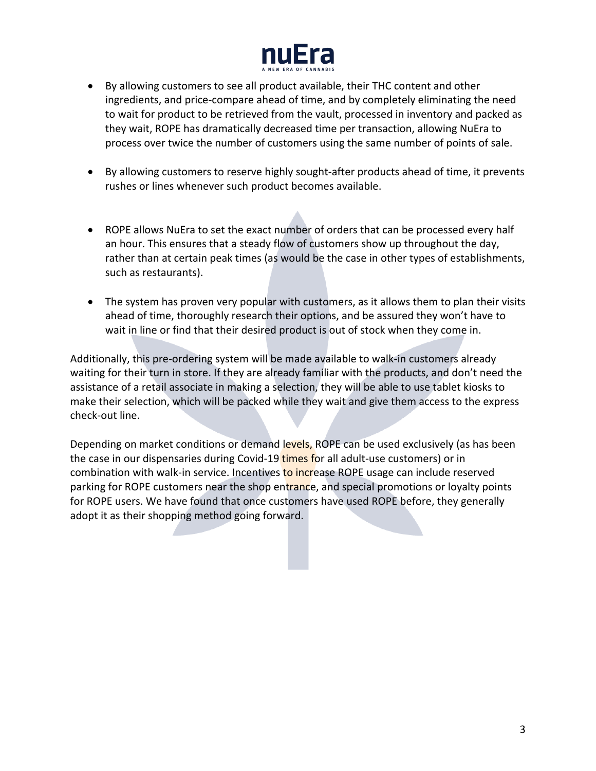

- By allowing customers to see all product available, their THC content and other ingredients, and price-compare ahead of time, and by completely eliminating the need to wait for product to be retrieved from the vault, processed in inventory and packed as they wait, ROPE has dramatically decreased time per transaction, allowing NuEra to process over twice the number of customers using the same number of points of sale.
- By allowing customers to reserve highly sought-after products ahead of time, it prevents rushes or lines whenever such product becomes available.
- ROPE allows NuEra to set the exact number of orders that can be processed every half an hour. This ensures that a steady flow of customers show up throughout the day, rather than at certain peak times (as would be the case in other types of establishments, such as restaurants).
- The system has proven very popular with customers, as it allows them to plan their visits ahead of time, thoroughly research their options, and be assured they won't have to wait in line or find that their desired product is out of stock when they come in.

Additionally, this pre-ordering system will be made available to walk-in customers already waiting for their turn in store. If they are already familiar with the products, and don't need the assistance of a retail associate in making a selection, they will be able to use tablet kiosks to make their selection, which will be packed while they wait and give them access to the express check-out line.

Depending on market conditions or demand levels, ROPE can be used exclusively (as has been the case in our dispensaries during Covid-19 times for all adult-use customers) or in combination with walk-in service. Incentives to increase ROPE usage can include reserved parking for ROPE customers near the shop entrance, and special promotions or loyalty points for ROPE users. We have found that once customers have used ROPE before, they generally adopt it as their shopping method going forward.